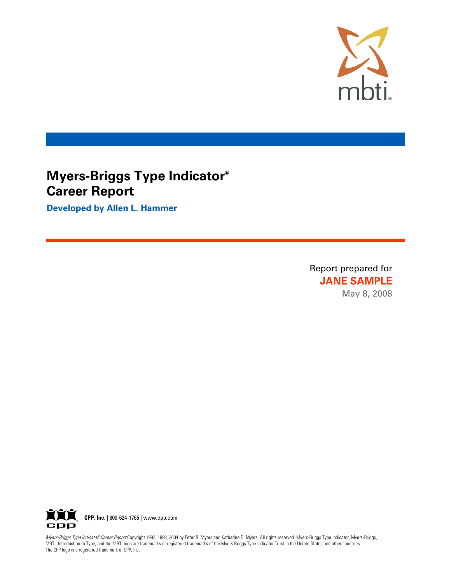

# **Myers-Briggs Type Indicator® Career Report**

**Developed by Allen L. Hammer**

Report prepared for **JANE SAMPLE** May 8, 2008



Myers-Briggs Type Indicato<sup>®</sup> Career Report Copyright 1992, 1998, 2004 by Peter B. Myers and Katharine D. Myers. All rights reserved. Myers-Briggs Type Indicator, Myers-Briggs, MBTI, Introduction to Type, and the MBTI logo are trademarks or registered trademarks of the Myers-Briggs Type Indicator Trust in the United States and other countries. The CPP logo is a registered trademark of CPP, Inc.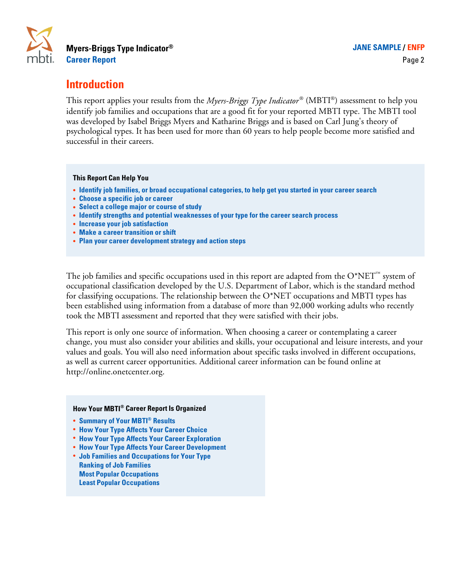

# **Introduction**

This report applies your results from the *Myers-Briggs Type Indicator*® (MBTI®) assessment to help you identify job families and occupations that are a good fit for your reported MBTI type. The MBTI tool was developed by Isabel Briggs Myers and Katharine Briggs and is based on Carl Jung's theory of psychological types. It has been used for more than 60 years to help people become more satisfied and successful in their careers.

#### **This Report Can Help You**

- **· Identify job families, or broad occupational categories, to help get you started in your career search**
- **· Choose a specific job or career**
- **· Select a college major or course of study**
- **· Identify strengths and potential weaknesses of your type for the career search process**
- **· Increase your job satisfaction**
- **· Make a career transition or shift**
- **· Plan your career development strategy and action steps**

The job families and specific occupations used in this report are adapted from the  $O^*NET^m$  system of occupational classification developed by the U.S. Department of Labor, which is the standard method for classifying occupations. The relationship between the O\*NET occupations and MBTI types has been established using information from a database of more than 92,000 working adults who recently took the MBTI assessment and reported that they were satisfied with their jobs.

This report is only one source of information. When choosing a career or contemplating a career change, you must also consider your abilities and skills, your occupational and leisure interests, and your values and goals. You will also need information about specific tasks involved in different occupations, as well as current career opportunities. Additional career information can be found online at http://online.onetcenter.org.

## **How Your MBTI® Career Report Is Organized**

- **· Summary of Your MBTI® Results**
- **· How Your Type Affects Your Career Choice**
- **· How Your Type Affects Your Career Exploration**
- **· How Your Type Affects Your Career Development**
- **· Job Families and Occupations for Your Type Ranking of Job Families Most Popular Occupations Least Popular Occupations**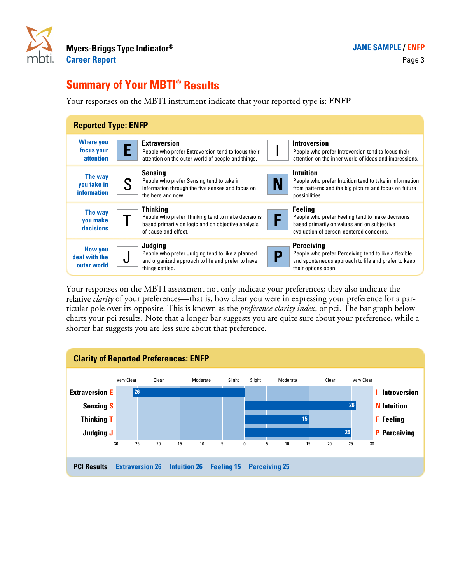

# **Summary of Your MBTI® Results**

Your responses on the MBTI instrument indicate that your reported type is: **ENFP**

| <b>Reported Type: ENFP</b>                         |                                                                                                                                                    |                                                                                                                                                                   |
|----------------------------------------------------|----------------------------------------------------------------------------------------------------------------------------------------------------|-------------------------------------------------------------------------------------------------------------------------------------------------------------------|
| <b>Where you</b><br>focus your<br><b>attention</b> | <b>Extraversion</b><br>People who prefer Extraversion tend to focus their<br>attention on the outer world of people and things.                    | <b>Introversion</b><br>People who prefer Introversion tend to focus their<br>attention on the inner world of ideas and impressions.                               |
| The way<br>you take in<br><b>information</b>       | <b>Sensing</b><br>People who prefer Sensing tend to take in<br>S<br>information through the five senses and focus on<br>the here and now.          | <b>Intuition</b><br>People who prefer Intuition tend to take in information<br>N<br>from patterns and the big picture and focus on future<br>possibilities.       |
| The way<br><b>vou make</b><br>decisions            | <b>Thinking</b><br>People who prefer Thinking tend to make decisions<br>based primarily on logic and on objective analysis<br>of cause and effect. | <b>Feeling</b><br>F<br>People who prefer Feeling tend to make decisions<br>based primarily on values and on subjective<br>evaluation of person-centered concerns. |
| <b>How you</b><br>deal with the<br>outer world     | Judging<br>People who prefer Judging tend to like a planned<br>U<br>and organized approach to life and prefer to have<br>things settled.           | <b>Perceiving</b><br>People who prefer Perceiving tend to like a flexible<br>D<br>and spontaneous approach to life and prefer to keep<br>their options open.      |

Your responses on the MBTI assessment not only indicate your preferences; they also indicate the relative *clarity* of your preferences—that is, how clear you were in expressing your preference for a particular pole over its opposite. This is known as the *preference clarity index*, or pci. The bar graph below charts your pci results. Note that a longer bar suggests you are quite sure about your preference, while a shorter bar suggests you are less sure about that preference.

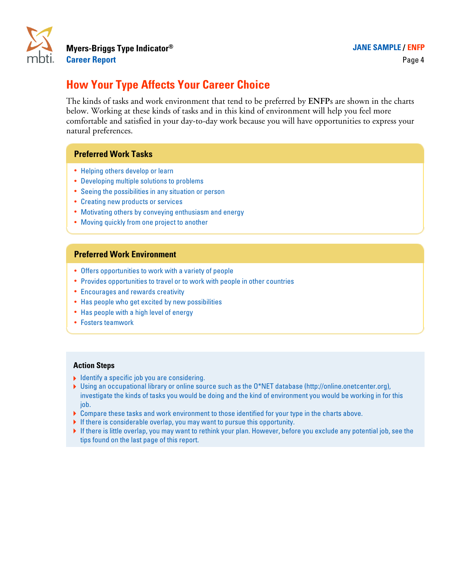

# **How Your Type Affects Your Career Choice**

The kinds of tasks and work environment that tend to be preferred by **ENFP**s are shown in the charts below. Working at these kinds of tasks and in this kind of environment will help you feel more comfortable and satisfied in your day-to-day work because you will have opportunities to express your natural preferences.

# **Preferred Work Tasks**

- **·** Helping others develop or learn
- **·** Developing multiple solutions to problems
- **·** Seeing the possibilities in any situation or person
- **·** Creating new products or services
- **·** Motivating others by conveying enthusiasm and energy
- **·** Moving quickly from one project to another

## **Preferred Work Environment**

- **·** Offers opportunities to work with a variety of people
- **·** Provides opportunities to travel or to work with people in other countries
- **·** Encourages and rewards creativity
- **·** Has people who get excited by new possibilities
- **·** Has people with a high level of energy
- **·** Fosters teamwork

- $\blacktriangleright$  Identify a specific job you are considering.
- A Using an occupational library or online source such as the O\*NET database (http://online.onetcenter.org), investigate the kinds of tasks you would be doing and the kind of environment you would be working in for this job.
- A Compare these tasks and work environment to those identified for your type in the charts above.
- $\blacktriangleright$  If there is considerable overlap, you may want to pursue this opportunity.
- $\blacktriangleright$  If there is little overlap, you may want to rethink your plan. However, before you exclude any potential job, see the tips found on the last page of this report.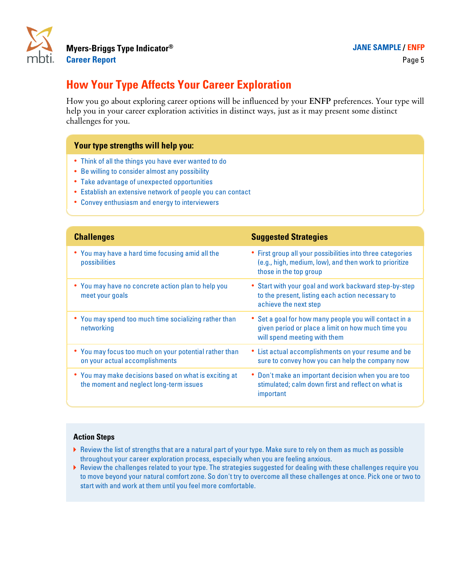

# **How Your Type Affects Your Career Exploration**

How you go about exploring career options will be influenced by your **ENFP** preferences. Your type will help you in your career exploration activities in distinct ways, just as it may present some distinct challenges for you.

# **Your type strengths will help you:**

- **·** Think of all the things you have ever wanted to do
- **·** Be willing to consider almost any possibility
- **·** Take advantage of unexpected opportunities
- **·** Establish an extensive network of people you can contact
- **·** Convey enthusiasm and energy to interviewers

| <b>Challenges</b>                                                                                | <b>Suggested Strategies</b>                                                                                                                    |
|--------------------------------------------------------------------------------------------------|------------------------------------------------------------------------------------------------------------------------------------------------|
| • You may have a hard time focusing amid all the<br>possibilities                                | • First group all your possibilities into three categories<br>(e.g., high, medium, low), and then work to prioritize<br>those in the top group |
| • You may have no concrete action plan to help you<br>meet your goals                            | • Start with your goal and work backward step-by-step<br>to the present, listing each action necessary to<br>achieve the next step             |
| • You may spend too much time socializing rather than<br>networking                              | • Set a goal for how many people you will contact in a<br>given period or place a limit on how much time you<br>will spend meeting with them   |
| • You may focus too much on your potential rather than<br>on your actual accomplishments         | • List actual accomplishments on your resume and be<br>sure to convey how you can help the company now                                         |
| • You may make decisions based on what is exciting at<br>the moment and neglect long-term issues | • Don't make an important decision when you are too<br>stimulated; calm down first and reflect on what is<br>important                         |

- A Review the list of strengths that are a natural part of your type. Make sure to rely on them as much as possible throughout your career exploration process, especially when you are feeling anxious.
- A Review the challenges related to your type. The strategies suggested for dealing with these challenges require you to move beyond your natural comfort zone. So don't try to overcome all these challenges at once. Pick one or two to start with and work at them until you feel more comfortable.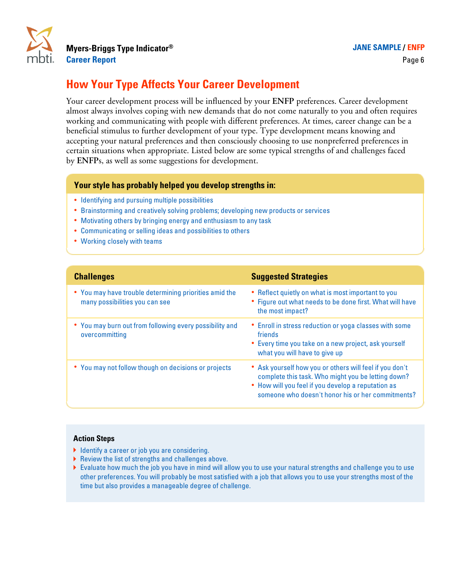

# **How Your Type Affects Your Career Development**

Your career development process will be influenced by your **ENFP** preferences. Career development almost always involves coping with new demands that do not come naturally to you and often requires working and communicating with people with different preferences. At times, career change can be a beneficial stimulus to further development of your type. Type development means knowing and accepting your natural preferences and then consciously choosing to use nonpreferred preferences in certain situations when appropriate. Listed below are some typical strengths of and challenges faced by **ENFP**s, as well as some suggestions for development.

# **Your style has probably helped you develop strengths in:**

- **·** Identifying and pursuing multiple possibilities
- **·** Brainstorming and creatively solving problems; developing new products or services
- **·** Motivating others by bringing energy and enthusiasm to any task
- **·** Communicating or selling ideas and possibilities to others
- **·** Working closely with teams

| <b>Challenges</b>                                                                        | <b>Suggested Strategies</b>                                                                                                                                                                                              |
|------------------------------------------------------------------------------------------|--------------------------------------------------------------------------------------------------------------------------------------------------------------------------------------------------------------------------|
| • You may have trouble determining priorities amid the<br>many possibilities you can see | • Reflect quietly on what is most important to you<br>• Figure out what needs to be done first. What will have<br>the most impact?                                                                                       |
| • You may burn out from following every possibility and<br>overcommitting                | • Enroll in stress reduction or yoga classes with some<br>friends<br>• Every time you take on a new project, ask yourself<br>what you will have to give up                                                               |
| • You may not follow though on decisions or projects                                     | • Ask yourself how you or others will feel if you don't<br>complete this task. Who might you be letting down?<br>• How will you feel if you develop a reputation as<br>someone who doesn't honor his or her commitments? |

- $\blacktriangleright$  Identify a career or job you are considering.
- $\blacktriangleright$  Review the list of strengths and challenges above.
- A Evaluate how much the job you have in mind will allow you to use your natural strengths and challenge you to use other preferences. You will probably be most satisfied with a job that allows you to use your strengths most of the time but also provides a manageable degree of challenge.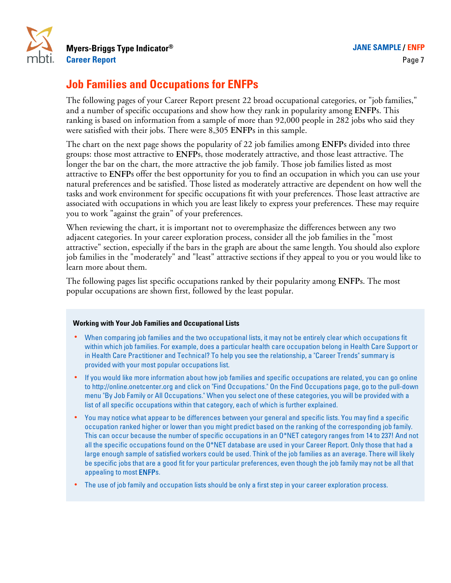

# **Job Families and Occupations for ENFPs**

The following pages of your Career Report present 22 broad occupational categories, or "job families," and a number of specific occupations and show how they rank in popularity among **ENFP**s. This ranking is based on information from a sample of more than 92,000 people in 282 jobs who said they were satisfied with their jobs. There were 8,305 **ENFP**s in this sample.

The chart on the next page shows the popularity of 22 job families among **ENFP**s divided into three groups: those most attractive to **ENFP**s, those moderately attractive, and those least attractive. The longer the bar on the chart, the more attractive the job family. Those job families listed as most attractive to **ENFP**s offer the best opportunity for you to find an occupation in which you can use your natural preferences and be satisfied. Those listed as moderately attractive are dependent on how well the tasks and work environment for specific occupations fit with your preferences. Those least attractive are associated with occupations in which you are least likely to express your preferences. These may require you to work "against the grain" of your preferences.

When reviewing the chart, it is important not to overemphasize the differences between any two adjacent categories. In your career exploration process, consider all the job families in the "most attractive" section, especially if the bars in the graph are about the same length. You should also explore job families in the "moderately" and "least" attractive sections if they appeal to you or you would like to learn more about them.

The following pages list specific occupations ranked by their popularity among **ENFP**s. The most popular occupations are shown first, followed by the least popular.

### **Working with Your Job Families and Occupational Lists**

- **·** When comparing job families and the two occupational lists, it may not be entirely clear which occupations fit within which job families. For example, does a particular health care occupation belong in Health Care Support or in Health Care Practitioner and Technical? To help you see the relationship, a "Career Trends" summary is provided with your most popular occupations list.
- **·** If you would like more information about how job families and specific occupations are related, you can go online to http://online.onetcenter.org and click on "Find Occupations." On the Find Occupations page, go to the pull-down menu "By Job Family or All Occupations." When you select one of these categories, you will be provided with a list of all specific occupations within that category, each of which is further explained.
- **·** You may notice what appear to be differences between your general and specific lists. You may find a specific occupation ranked higher or lower than you might predict based on the ranking of the corresponding job family. This can occur because the number of specific occupations in an O\*NET category ranges from 14 to 237! And not all the specific occupations found on the O\*NET database are used in your Career Report. Only those that had a large enough sample of satisfied workers could be used. Think of the job families as an average. There will likely be specific jobs that are a good fit for your particular preferences, even though the job family may not be all that appealing to most ENFPs.
- **·** The use of job family and occupation lists should be only a first step in your career exploration process.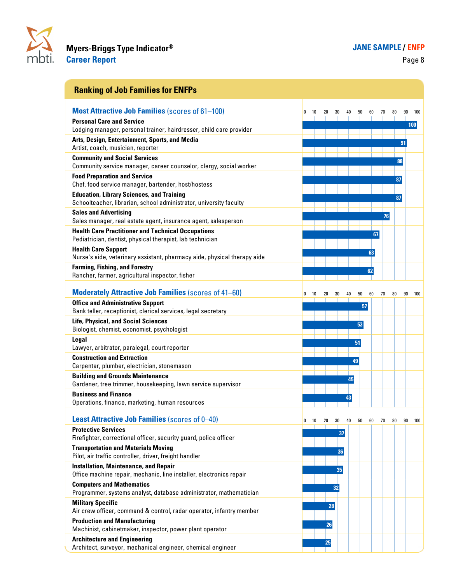

| <b>Ranking of Job Families for ENFPs</b>                                                                |   |    |    |    |    |    |    |    |    |    |     |
|---------------------------------------------------------------------------------------------------------|---|----|----|----|----|----|----|----|----|----|-----|
| <b>Most Attractive Job Families (scores of 61-100)</b>                                                  | 0 | 10 | 20 | 30 | 40 | 50 | 60 | 70 | 80 | 90 | 100 |
| <b>Personal Care and Service</b>                                                                        |   |    |    |    |    |    |    |    |    |    | 100 |
| Lodging manager, personal trainer, hairdresser, child care provider                                     |   |    |    |    |    |    |    |    |    |    |     |
| Arts, Design, Entertainment, Sports, and Media<br>Artist, coach, musician, reporter                     |   |    |    |    |    |    |    |    |    | 91 |     |
| <b>Community and Social Services</b>                                                                    |   |    |    |    |    |    |    |    |    | 88 |     |
| Community service manager, career counselor, clergy, social worker                                      |   |    |    |    |    |    |    |    |    |    |     |
| <b>Food Preparation and Service</b>                                                                     |   |    |    |    |    |    |    |    |    | 87 |     |
| Chef, food service manager, bartender, host/hostess<br><b>Education, Library Sciences, and Training</b> |   |    |    |    |    |    |    |    |    |    |     |
| Schoolteacher, librarian, school administrator, university faculty                                      |   |    |    |    |    |    |    |    |    | 87 |     |
| <b>Sales and Advertising</b>                                                                            |   |    |    |    |    |    |    |    | 76 |    |     |
| Sales manager, real estate agent, insurance agent, salesperson                                          |   |    |    |    |    |    |    |    |    |    |     |
| <b>Health Care Practitioner and Technical Occupations</b>                                               |   |    |    |    |    |    |    | 67 |    |    |     |
| Pediatrician, dentist, physical therapist, lab technician<br><b>Health Care Support</b>                 |   |    |    |    |    |    |    |    |    |    |     |
| Nurse's aide, veterinary assistant, pharmacy aide, physical therapy aide                                |   |    |    |    |    |    | 63 |    |    |    |     |
| <b>Farming, Fishing, and Forestry</b>                                                                   |   |    |    |    |    |    | 62 |    |    |    |     |
| Rancher, farmer, agricultural inspector, fisher                                                         |   |    |    |    |    |    |    |    |    |    |     |
| <b>Moderately Attractive Job Families (scores of 41–60)</b>                                             | 0 | 10 | 20 | 30 | 40 | 50 | 60 | 70 | 80 | 90 | 100 |
| <b>Office and Administrative Support</b>                                                                |   |    |    |    |    | 57 |    |    |    |    |     |
| Bank teller, receptionist, clerical services, legal secretary                                           |   |    |    |    |    |    |    |    |    |    |     |
| <b>Life, Physical, and Social Sciences</b><br>Biologist, chemist, economist, psychologist               |   |    |    |    |    | 53 |    |    |    |    |     |
| Legal                                                                                                   |   |    |    |    |    |    |    |    |    |    |     |
| Lawyer, arbitrator, paralegal, court reporter                                                           |   |    |    |    |    | 51 |    |    |    |    |     |
| <b>Construction and Extraction</b><br>Carpenter, plumber, electrician, stonemason                       |   |    |    |    |    | 49 |    |    |    |    |     |
| <b>Building and Grounds Maintenance</b>                                                                 |   |    |    |    | 45 |    |    |    |    |    |     |
| Gardener, tree trimmer, housekeeping, lawn service supervisor                                           |   |    |    |    |    |    |    |    |    |    |     |
| <b>Business and Finance</b><br>Operations, finance, marketing, human resources                          |   |    |    |    | 43 |    |    |    |    |    |     |
| <b>Least Attractive Job Families (scores of 0-40)</b>                                                   | 0 | 10 | 20 | 30 | 40 | 50 | 60 | 70 | 80 | 90 | 100 |
| <b>Protective Services</b>                                                                              |   |    |    |    |    |    |    |    |    |    |     |
| Firefighter, correctional officer, security guard, police officer                                       |   |    |    | 37 |    |    |    |    |    |    |     |
| <b>Transportation and Materials Moving</b><br>Pilot, air traffic controller, driver, freight handler    |   |    |    | 36 |    |    |    |    |    |    |     |
| <b>Installation, Maintenance, and Repair</b>                                                            |   |    |    | 35 |    |    |    |    |    |    |     |
| Office machine repair, mechanic, line installer, electronics repair                                     |   |    |    |    |    |    |    |    |    |    |     |
| <b>Computers and Mathematics</b>                                                                        |   |    |    | 32 |    |    |    |    |    |    |     |
| Programmer, systems analyst, database administrator, mathematician<br><b>Military Specific</b>          |   |    |    |    |    |    |    |    |    |    |     |
| Air crew officer, command & control, radar operator, infantry member                                    |   |    | 28 |    |    |    |    |    |    |    |     |
| <b>Production and Manufacturing</b>                                                                     |   |    | 26 |    |    |    |    |    |    |    |     |
| Machinist, cabinetmaker, inspector, power plant operator                                                |   |    |    |    |    |    |    |    |    |    |     |
| <b>Architecture and Engineering</b><br>Architect, surveyor, mechanical engineer, chemical engineer      |   |    | 25 |    |    |    |    |    |    |    |     |
|                                                                                                         |   |    |    |    |    |    |    |    |    |    |     |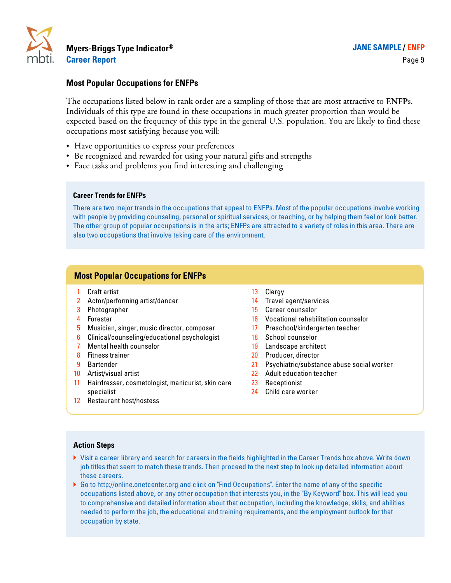

## **Most Popular Occupations for ENFPs**

The occupations listed below in rank order are a sampling of those that are most attractive to **ENFP**s. Individuals of this type are found in these occupations in much greater proportion than would be expected based on the frequency of this type in the general U.S. population. You are likely to find these occupations most satisfying because you will:

- **·** Have opportunities to express your preferences
- **·** Be recognized and rewarded for using your natural gifts and strengths
- **·** Face tasks and problems you find interesting and challenging

#### **Career Trends for ENFPs**

There are two major trends in the occupations that appeal to ENFPs. Most of the popular occupations involve working with people by providing counseling, personal or spiritual services, or teaching, or by helping them feel or look better. The other group of popular occupations is in the arts; ENFPs are attracted to a variety of roles in this area. There are also two occupations that involve taking care of the environment.

## **Most Popular Occupations for ENFPs**

- 1 Craft artist **13 Clergy**
- 2 Actor/performing artist/dancer 14 Travel agent/services
- 
- 
- 5 Musician, singer, music director, composer 17 Preschool/kindergarten teacher
- 6 Clinical/counseling/educational psychologist 18 School counselor
- **7** Mental health counselor 19 Landscape architect
- 
- 
- 
- 11 Hairdresser, cosmetologist, manicurist, skin care specialist
- 12 Restaurant host/hostess
- 
- 
- 3 Photographer 2012 15 Career counselor
- 4 Forester 16 Vocational rehabilitation counselor
	-
	-
	-
- 8 Fitness trainer 20 Producer, director
- 9 Bartender 21 Psychiatric/substance abuse social worker
- 10 Artist/visual artist 22 Adult education teacher
	- 23 Receptionist
	- 24 Child care worker

- A Visit a career library and search for careers in the fields highlighted in the Career Trends box above. Write down job titles that seem to match these trends. Then proceed to the next step to look up detailed information about these careers.
- A Go to http://online.onetcenter.org and click on "Find Occupations". Enter the name of any of the specific occupations listed above, or any other occupation that interests you, in the "By Keyword" box. This will lead you to comprehensive and detailed information about that occupation, including the knowledge, skills, and abilities needed to perform the job, the educational and training requirements, and the employment outlook for that occupation by state.